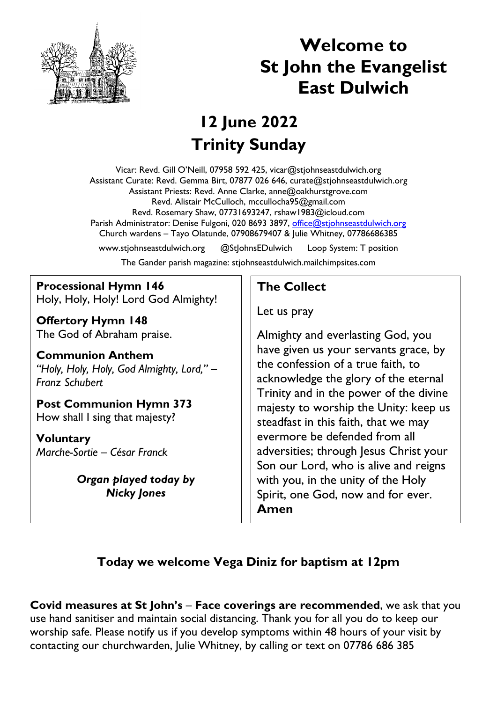

# **Welcome to St John the Evangelist East Dulwich**

# **12 June 2022 Trinity Sunday**

Vicar: Revd. Gill O'Neill, 07958 592 425, vicar@stjohnseastdulwich.org Assistant Curate: Revd. Gemma Birt, 07877 026 646, curate@stjohnseastdulwich.org Assistant Priests: Revd. Anne Clarke, anne@oakhurstgrove.com Revd. Alistair McCulloch, mccullocha95@gmail.com Revd. Rosemary Shaw, 07731693247, rshaw1983@icloud.com Parish Administrator: Denise Fulgoni, 020 8693 3897, [office@stjohnseastdulwich.org](mailto:office@stjohnseastdulwich.org) Church wardens – Tayo Olatunde, 07908679407 & Julie Whitney, 07786686385

www.stjohnseastdulwich.org @StJohnsEDulwich Loop System: T position The Gander parish magazine: stjohnseastdulwich.mailchimpsites.com

### **Processional Hymn 146**

Holy, Holy, Holy! Lord God Almighty!

**Offertory Hymn 148** The God of Abraham praise.

**Communion Anthem** *"Holy, Holy, Holy, God Almighty, Lord," – Franz Schubert*

**Post Communion Hymn 373** How shall I sing that majesty?

**Voluntary** *Marche-Sortie – César Franck*

> *Organ played today by Nicky Jones*

### **The Collect**

Let us pray

Almighty and everlasting God, you have given us your servants grace, by the confession of a true faith, to acknowledge the glory of the eternal Trinity and in the power of the divine majesty to worship the Unity: keep us steadfast in this faith, that we may evermore be defended from all adversities; through Jesus Christ your Son our Lord, who is alive and reigns with you, in the unity of the Holy Spirit, one God, now and for ever. **Amen**

### **Today we welcome Vega Diniz for baptism at 12pm**

**Covid measures at St John's** – **Face coverings are recommended**, we ask that you use hand sanitiser and maintain social distancing. Thank you for all you do to keep our worship safe. Please notify us if you develop symptoms within 48 hours of your visit by contacting our churchwarden, Julie Whitney, by calling or text on 07786 686 385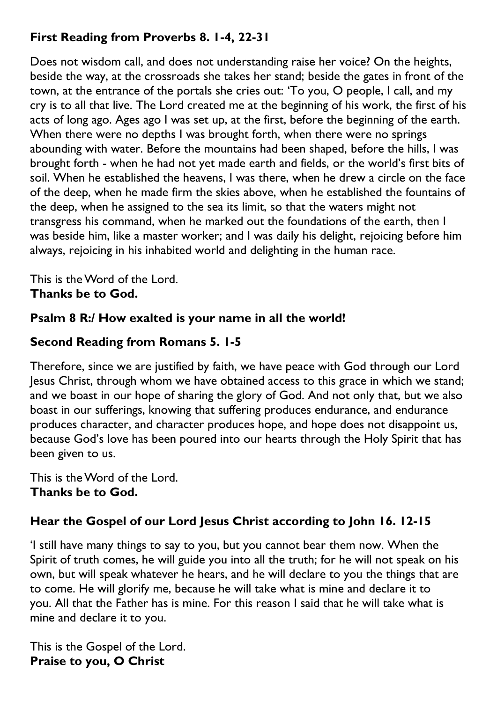### **First Reading from Proverbs 8. 1-4, 22-31**

Does not wisdom call, and does not understanding raise her voice? On the heights, beside the way, at the crossroads she takes her stand; beside the gates in front of the town, at the entrance of the portals she cries out: 'To you, O people, I call, and my cry is to all that live. The Lord created me at the beginning of his work, the first of his acts of long ago. Ages ago I was set up, at the first, before the beginning of the earth. When there were no depths I was brought forth, when there were no springs abounding with water. Before the mountains had been shaped, before the hills, I was brought forth - when he had not yet made earth and fields, or the world's first bits of soil. When he established the heavens, I was there, when he drew a circle on the face of the deep, when he made firm the skies above, when he established the fountains of the deep, when he assigned to the sea its limit, so that the waters might not transgress his command, when he marked out the foundations of the earth, then I was beside him, like a master worker; and I was daily his delight, rejoicing before him always, rejoicing in his inhabited world and delighting in the human race.

This is the Word of the Lord. **Thanks be to God.**

### **Psalm 8 R:/ How exalted is your name in all the world!**

### **Second Reading from Romans 5. 1-5**

Therefore, since we are justified by faith, we have peace with God through our Lord Jesus Christ, through whom we have obtained access to this grace in which we stand; and we boast in our hope of sharing the glory of God. And not only that, but we also boast in our sufferings, knowing that suffering produces endurance, and endurance produces character, and character produces hope, and hope does not disappoint us, because God's love has been poured into our hearts through the Holy Spirit that has been given to us.

This is the Word of the Lord. **Thanks be to God.**

### **Hear the Gospel of our Lord Jesus Christ according to John 16. 12-15**

'I still have many things to say to you, but you cannot bear them now. When the Spirit of truth comes, he will guide you into all the truth; for he will not speak on his own, but will speak whatever he hears, and he will declare to you the things that are to come. He will glorify me, because he will take what is mine and declare it to you. All that the Father has is mine. For this reason I said that he will take what is mine and declare it to you.

This is the Gospel of the Lord. **Praise to you, O Christ**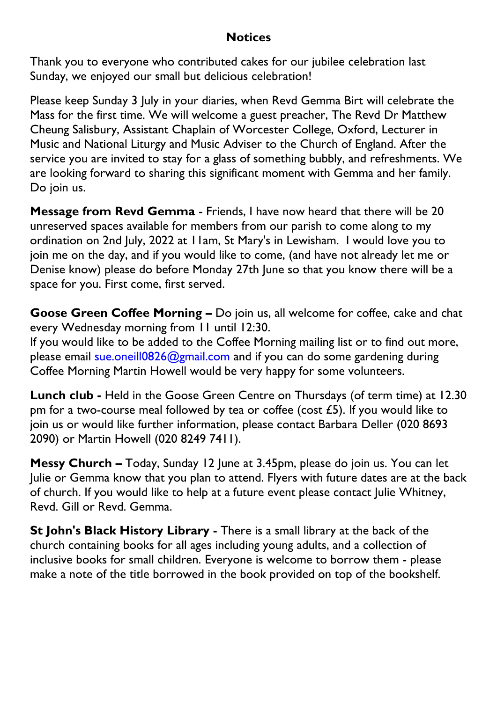### **Notices**

Thank you to everyone who contributed cakes for our jubilee celebration last Sunday, we enjoyed our small but delicious celebration!

Please keep Sunday 3 July in your diaries, when Revd Gemma Birt will celebrate the Mass for the first time. We will welcome a guest preacher, The Revd Dr Matthew Cheung Salisbury, Assistant Chaplain of Worcester College, Oxford, Lecturer in Music and National Liturgy and Music Adviser to the Church of England. After the service you are invited to stay for a glass of something bubbly, and refreshments. We are looking forward to sharing this significant moment with Gemma and her family. Do join us.

**Message from Revd Gemma** - Friends, I have now heard that there will be 20 unreserved spaces available for members from our parish to come along to my ordination on 2nd July, 2022 at 11am, St Mary's in Lewisham. I would love you to join me on the day, and if you would like to come, (and have not already let me or Denise know) please do before Monday 27th June so that you know there will be a space for you. First come, first served.

**Goose Green Coffee Morning –** Do join us, all welcome for coffee, cake and chat every Wednesday morning from 11 until 12:30.

If you would like to be added to the Coffee Morning mailing list or to find out more, please email [sue.oneill0826@gmail.com](mailto:sue.oneill0826@gmail.com) and if you can do some gardening during Coffee Morning Martin Howell would be very happy for some volunteers.

**Lunch club -** Held in the Goose Green Centre on Thursdays (of term time) at 12.30 pm for a two-course meal followed by tea or coffee (cost £5). If you would like to join us or would like further information, please contact Barbara Deller (020 8693 2090) or Martin Howell (020 8249 7411).

**Messy Church –** Today, Sunday 12 June at 3.45pm, please do join us. You can let Julie or Gemma know that you plan to attend. Flyers with future dates are at the back of church. If you would like to help at a future event please contact Julie Whitney, Revd. Gill or Revd. Gemma.

**St John's Black History Library -** There is a small library at the back of the church containing books for all ages including young adults, and a collection of inclusive books for small children. Everyone is welcome to borrow them - please make a note of the title borrowed in the book provided on top of the bookshelf.